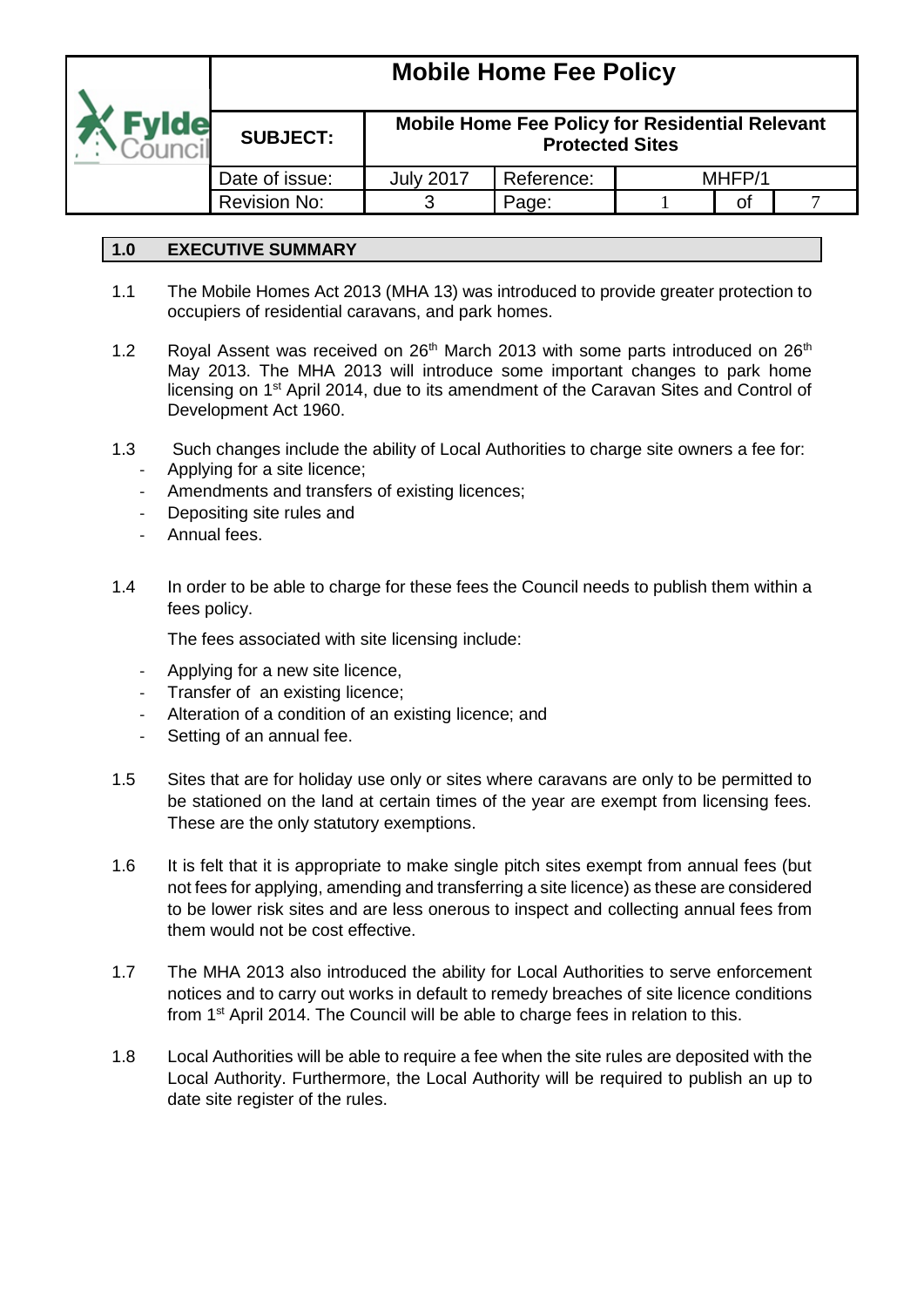

**Mobile Home Fee Policy for Residential Relevant** 

| <b>SUBJECT:</b> | <b>Protected Sites</b> |            |  |        |  |  |
|-----------------|------------------------|------------|--|--------|--|--|
| Date of issue:  | Julv 2017              | Reference: |  | MHFP/1 |  |  |
| Revision No:    |                        | Page:      |  |        |  |  |

### **1.0 EXECUTIVE SUMMARY**

**SUBJECT:**

- 1.1 The Mobile Homes Act 2013 (MHA 13) was introduced to provide greater protection to occupiers of residential caravans, and park homes.
- 1.2 Royal Assent was received on  $26<sup>th</sup>$  March 2013 with some parts introduced on  $26<sup>th</sup>$ May 2013. The MHA 2013 will introduce some important changes to park home licensing on 1st April 2014, due to its amendment of the Caravan Sites and Control of Development Act 1960.
- 1.3 Such changes include the ability of Local Authorities to charge site owners a fee for:
	- Applying for a site licence;
	- Amendments and transfers of existing licences;
	- Depositing site rules and
	- Annual fees.
- 1.4 In order to be able to charge for these fees the Council needs to publish them within a fees policy.

The fees associated with site licensing include:

- Applying for a new site licence,
- Transfer of an existing licence;
- Alteration of a condition of an existing licence; and
- Setting of an annual fee.
- 1.5 Sites that are for holiday use only or sites where caravans are only to be permitted to be stationed on the land at certain times of the year are exempt from licensing fees. These are the only statutory exemptions.
- 1.6 It is felt that it is appropriate to make single pitch sites exempt from annual fees (but not fees for applying, amending and transferring a site licence) as these are considered to be lower risk sites and are less onerous to inspect and collecting annual fees from them would not be cost effective.
- 1.7 The MHA 2013 also introduced the ability for Local Authorities to serve enforcement notices and to carry out works in default to remedy breaches of site licence conditions from 1st April 2014. The Council will be able to charge fees in relation to this.
- 1.8 Local Authorities will be able to require a fee when the site rules are deposited with the Local Authority. Furthermore, the Local Authority will be required to publish an up to date site register of the rules.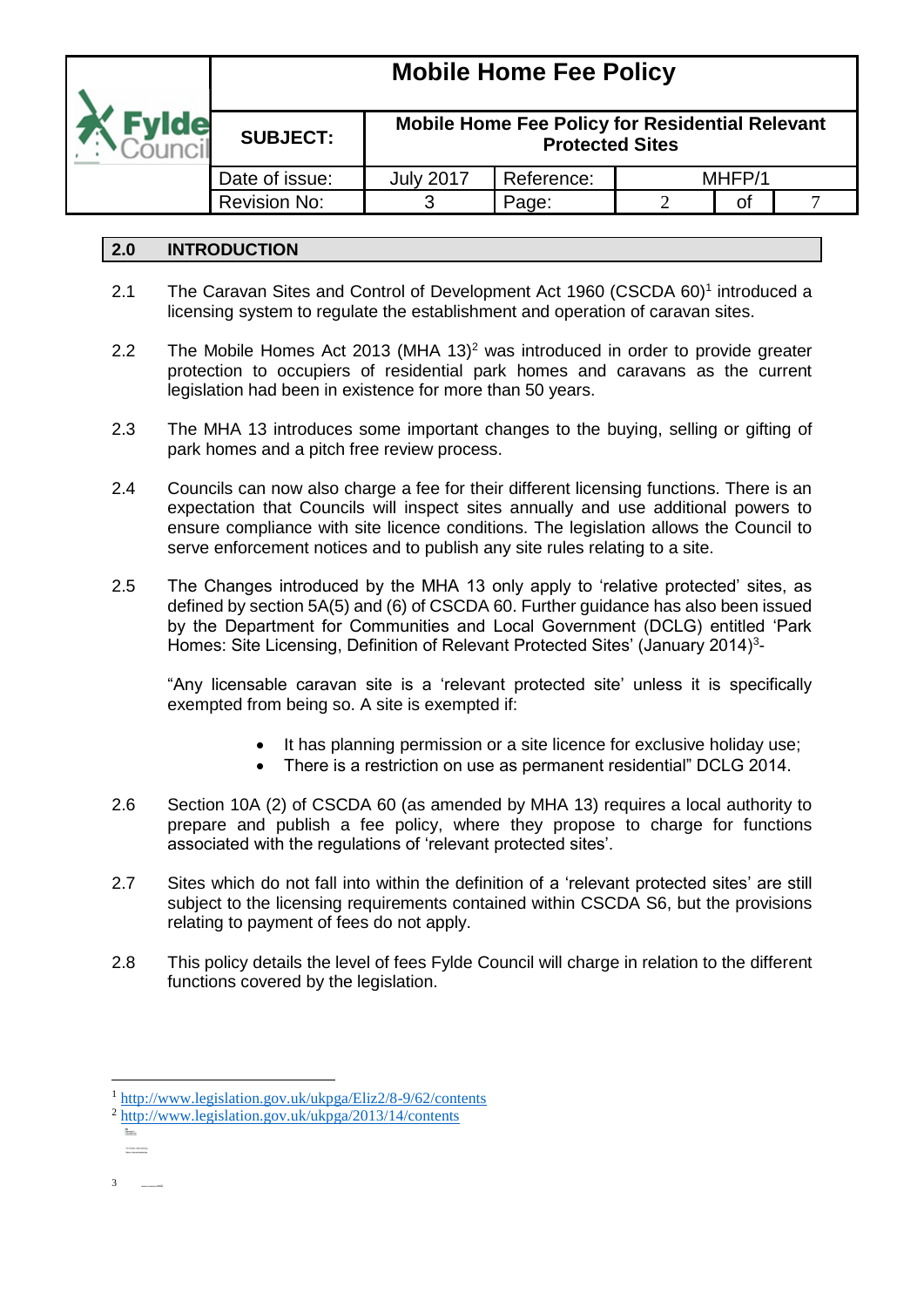

#### **SUBJECT: Mobile Home Fee Policy for Residential Relevant Protected Sites** Date of issue:  $\parallel$  July 2017 Reference:  $\parallel$  MHFP/1 Revision No:  $\begin{array}{ccc} 1 & 3 & \text{Paae:} & 2 & \text{of} & 7 \end{array}$

### **2.0 INTRODUCTION**

- 2.1 The Caravan Sites and Control of Development Act 1960 (CSCDA 60)<sup>1</sup> introduced a licensing system to regulate the establishment and operation of caravan sites.
- 2.2 The Mobile Homes Act 2013 (MHA 13)<sup>2</sup> was introduced in order to provide greater protection to occupiers of residential park homes and caravans as the current legislation had been in existence for more than 50 years.
- 2.3 The MHA 13 introduces some important changes to the buying, selling or gifting of park homes and a pitch free review process.
- 2.4 Councils can now also charge a fee for their different licensing functions. There is an expectation that Councils will inspect sites annually and use additional powers to ensure compliance with site licence conditions. The legislation allows the Council to serve enforcement notices and to publish any site rules relating to a site.
- 2.5 The Changes introduced by the MHA 13 only apply to 'relative protected' sites, as defined by section 5A(5) and (6) of CSCDA 60. Further guidance has also been issued by the Department for Communities and Local Government (DCLG) entitled 'Park Homes: Site Licensing, Definition of Relevant Protected Sites' (January 2014)<sup>3</sup>-

"Any licensable caravan site is a 'relevant protected site' unless it is specifically exempted from being so. A site is exempted if:

- It has planning permission or a site licence for exclusive holiday use;
- There is a restriction on use as permanent residential" DCLG 2014.
- 2.6 Section 10A (2) of CSCDA 60 (as amended by MHA 13) requires a local authority to prepare and publish a fee policy, where they propose to charge for functions associated with the regulations of 'relevant protected sites'.
- 2.7 Sites which do not fall into within the definition of a 'relevant protected sites' are still subject to the licensing requirements contained within CSCDA S6, but the provisions relating to payment of fees do not apply.
- 2.8 This policy details the level of fees Fylde Council will charge in relation to the different functions covered by the legislation.

1

<sup>&</sup>lt;sup>1</sup> <http://www.legislation.gov.uk/ukpga/Eliz2/8-9/62/contents>

<sup>2</sup> <http://www.legislation.gov.uk/ukpga/2013/14/contents>

Parameter Sterlands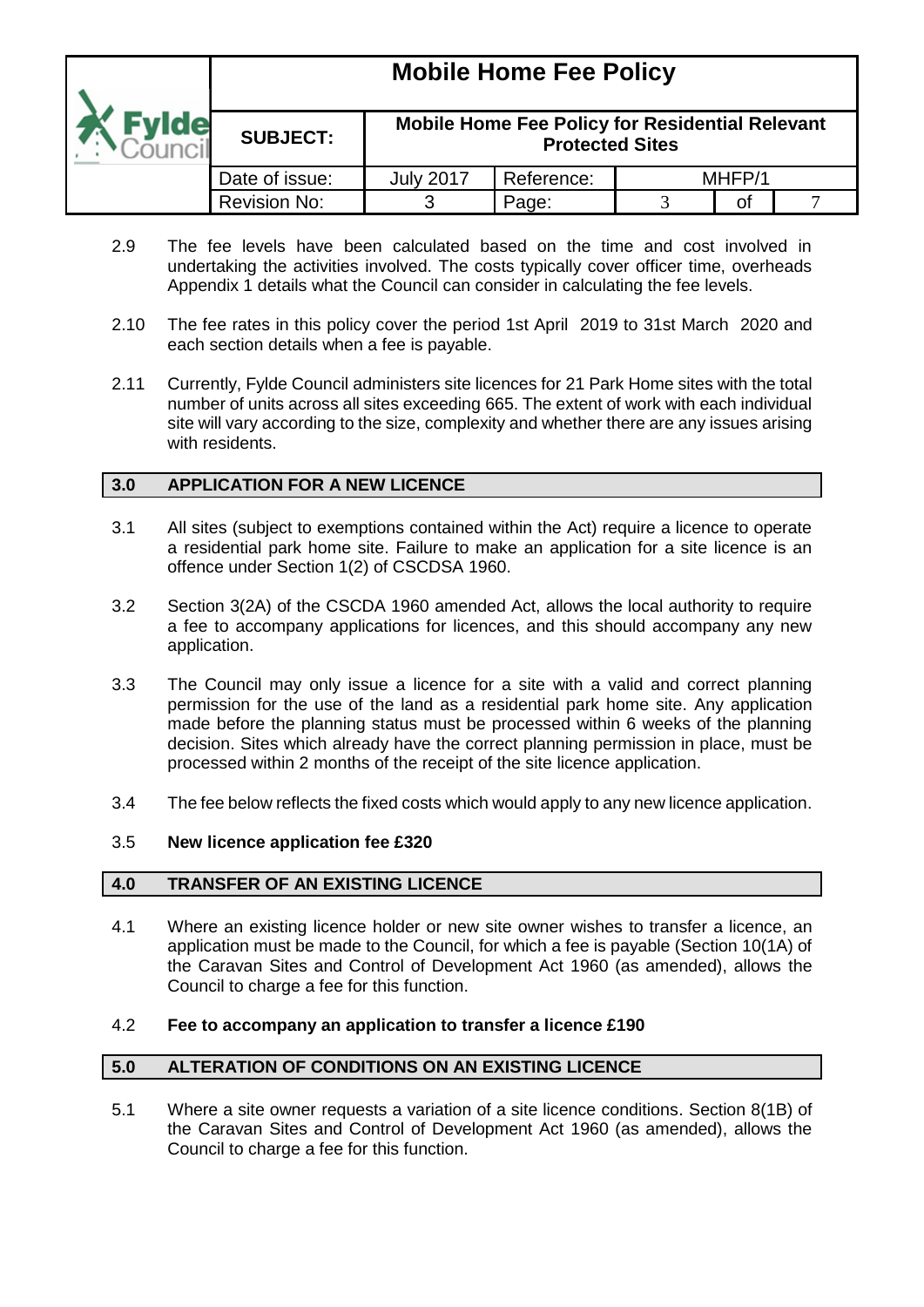### **Mobile Home Fee Policy SUBJECT: Mobile Home Fee Policy for Residential Relevant Protected Sites** Date of issue: July 2017 Reference: MHFP/1 Revision No:  $\begin{array}{ccc} 1 & 3 & \text{Paae:} & 3 & \text{of} & 7 \end{array}$

- 2.9 The fee levels have been calculated based on the time and cost involved in undertaking the activities involved. The costs typically cover officer time, overheads Appendix 1 details what the Council can consider in calculating the fee levels.
- 2.10 The fee rates in this policy cover the period 1st April 2019 to 31st March 2020 and each section details when a fee is payable.
- 2.11 Currently, Fylde Council administers site licences for 21 Park Home sites with the total number of units across all sites exceeding 665. The extent of work with each individual site will vary according to the size, complexity and whether there are any issues arising with residents.

### **3.0 APPLICATION FOR A NEW LICENCE**

- 3.1 All sites (subject to exemptions contained within the Act) require a licence to operate a residential park home site. Failure to make an application for a site licence is an offence under Section 1(2) of CSCDSA 1960.
- 3.2 Section 3(2A) of the CSCDA 1960 amended Act, allows the local authority to require a fee to accompany applications for licences, and this should accompany any new application.
- 3.3 The Council may only issue a licence for a site with a valid and correct planning permission for the use of the land as a residential park home site. Any application made before the planning status must be processed within 6 weeks of the planning decision. Sites which already have the correct planning permission in place, must be processed within 2 months of the receipt of the site licence application.
- 3.4 The fee below reflects the fixed costs which would apply to any new licence application.

#### 3.5 **New licence application fee £320**

#### **4.0 TRANSFER OF AN EXISTING LICENCE**

4.1 Where an existing licence holder or new site owner wishes to transfer a licence, an application must be made to the Council, for which a fee is payable (Section 10(1A) of the Caravan Sites and Control of Development Act 1960 (as amended), allows the Council to charge a fee for this function.

#### 4.2 **Fee to accompany an application to transfer a licence £190**

#### **5.0 ALTERATION OF CONDITIONS ON AN EXISTING LICENCE**

5.1 Where a site owner requests a variation of a site licence conditions. Section 8(1B) of the Caravan Sites and Control of Development Act 1960 (as amended), allows the Council to charge a fee for this function.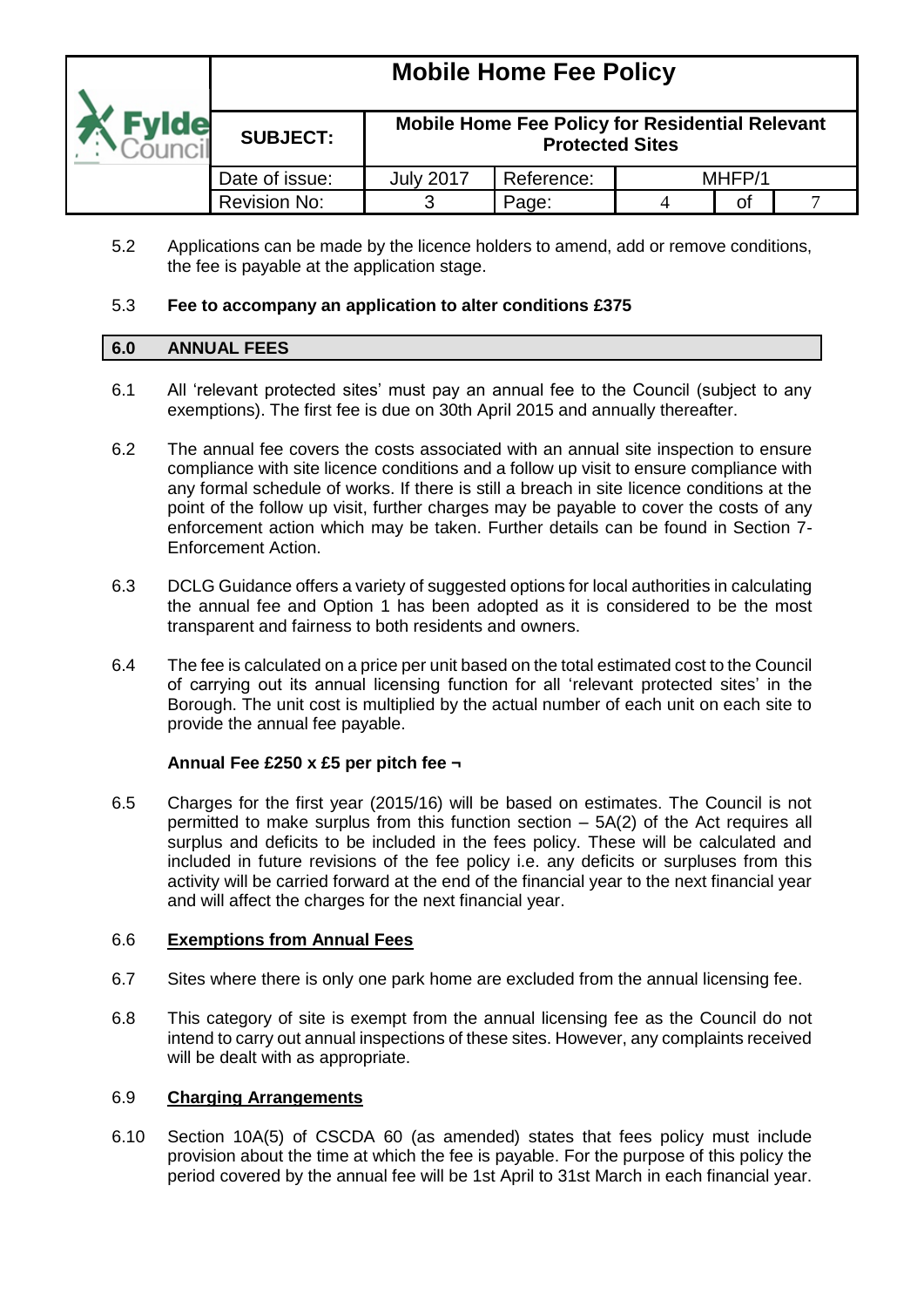|                     | <b>THOMAS LIGHTS L SG L QUOY</b> |                                                                                  |            |  |        |  |  |  |
|---------------------|----------------------------------|----------------------------------------------------------------------------------|------------|--|--------|--|--|--|
| <i><u>svide</u></i> | <b>SUBJECT:</b>                  | <b>Mobile Home Fee Policy for Residential Relevant</b><br><b>Protected Sites</b> |            |  |        |  |  |  |
|                     | Date of issue:                   | <b>July 2017</b>                                                                 | Reference: |  | MHFP/1 |  |  |  |
|                     | Revision No:                     |                                                                                  | Page:      |  | οf     |  |  |  |

5.2 Applications can be made by the licence holders to amend, add or remove conditions, the fee is payable at the application stage.

#### 5.3 **Fee to accompany an application to alter conditions £375**

#### **6.0 ANNUAL FEES**

- 6.1 All 'relevant protected sites' must pay an annual fee to the Council (subject to any exemptions). The first fee is due on 30th April 2015 and annually thereafter.
- 6.2 The annual fee covers the costs associated with an annual site inspection to ensure compliance with site licence conditions and a follow up visit to ensure compliance with any formal schedule of works. If there is still a breach in site licence conditions at the point of the follow up visit, further charges may be payable to cover the costs of any enforcement action which may be taken. Further details can be found in Section 7- Enforcement Action.
- 6.3 DCLG Guidance offers a variety of suggested options for local authorities in calculating the annual fee and Option 1 has been adopted as it is considered to be the most transparent and fairness to both residents and owners.
- 6.4 The fee is calculated on a price per unit based on the total estimated cost to the Council of carrying out its annual licensing function for all 'relevant protected sites' in the Borough. The unit cost is multiplied by the actual number of each unit on each site to provide the annual fee payable.

#### **Annual Fee £250 x £5 per pitch fee ¬**

6.5 Charges for the first year (2015/16) will be based on estimates. The Council is not permitted to make surplus from this function section – 5A(2) of the Act requires all surplus and deficits to be included in the fees policy. These will be calculated and included in future revisions of the fee policy i.e. any deficits or surpluses from this activity will be carried forward at the end of the financial year to the next financial year and will affect the charges for the next financial year.

#### 6.6 **Exemptions from Annual Fees**

- 6.7 Sites where there is only one park home are excluded from the annual licensing fee.
- 6.8 This category of site is exempt from the annual licensing fee as the Council do not intend to carry out annual inspections of these sites. However, any complaints received will be dealt with as appropriate.

#### 6.9 **Charging Arrangements**

6.10 Section 10A(5) of CSCDA 60 (as amended) states that fees policy must include provision about the time at which the fee is payable. For the purpose of this policy the period covered by the annual fee will be 1st April to 31st March in each financial year.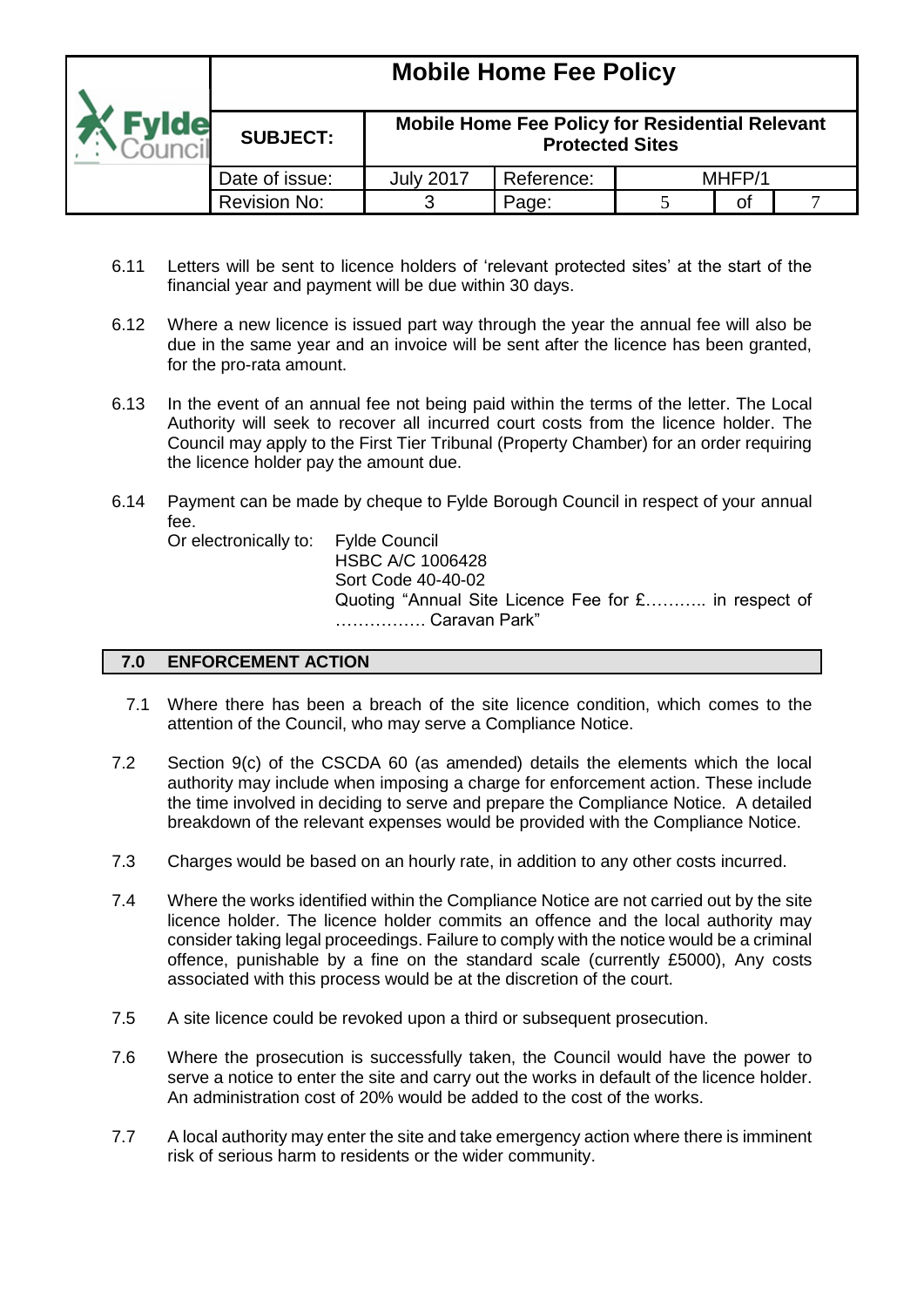|              | <b>Mobile Home Fee Policy</b> |                                                                                  |            |        |    |  |  |
|--------------|-------------------------------|----------------------------------------------------------------------------------|------------|--------|----|--|--|
| <b>Evide</b> | <b>SUBJECT:</b>               | <b>Mobile Home Fee Policy for Residential Relevant</b><br><b>Protected Sites</b> |            |        |    |  |  |
|              | Date of issue:                | <b>July 2017</b>                                                                 | Reference: | MHFP/1 |    |  |  |
|              | <b>Revision No:</b>           |                                                                                  | Page:      |        | Οt |  |  |

- 6.11 Letters will be sent to licence holders of 'relevant protected sites' at the start of the financial year and payment will be due within 30 days.
- 6.12 Where a new licence is issued part way through the year the annual fee will also be due in the same year and an invoice will be sent after the licence has been granted, for the pro-rata amount.
- 6.13 In the event of an annual fee not being paid within the terms of the letter. The Local Authority will seek to recover all incurred court costs from the licence holder. The Council may apply to the First Tier Tribunal (Property Chamber) for an order requiring the licence holder pay the amount due.
- 6.14 Payment can be made by cheque to Fylde Borough Council in respect of your annual fee.

Or electronically to: Fylde Council

HSBC A/C 1006428 Sort Code 40-40-02 Quoting "Annual Site Licence Fee for £……….. in respect of ……………. Caravan Park"

#### **7.0 ENFORCEMENT ACTION**

- 7.1 Where there has been a breach of the site licence condition, which comes to the attention of the Council, who may serve a Compliance Notice.
- 7.2 Section 9(c) of the CSCDA 60 (as amended) details the elements which the local authority may include when imposing a charge for enforcement action. These include the time involved in deciding to serve and prepare the Compliance Notice. A detailed breakdown of the relevant expenses would be provided with the Compliance Notice.
- 7.3 Charges would be based on an hourly rate, in addition to any other costs incurred.
- 7.4 Where the works identified within the Compliance Notice are not carried out by the site licence holder. The licence holder commits an offence and the local authority may consider taking legal proceedings. Failure to comply with the notice would be a criminal offence, punishable by a fine on the standard scale (currently £5000), Any costs associated with this process would be at the discretion of the court.
- 7.5 A site licence could be revoked upon a third or subsequent prosecution.
- 7.6 Where the prosecution is successfully taken, the Council would have the power to serve a notice to enter the site and carry out the works in default of the licence holder. An administration cost of 20% would be added to the cost of the works.
- 7.7 A local authority may enter the site and take emergency action where there is imminent risk of serious harm to residents or the wider community.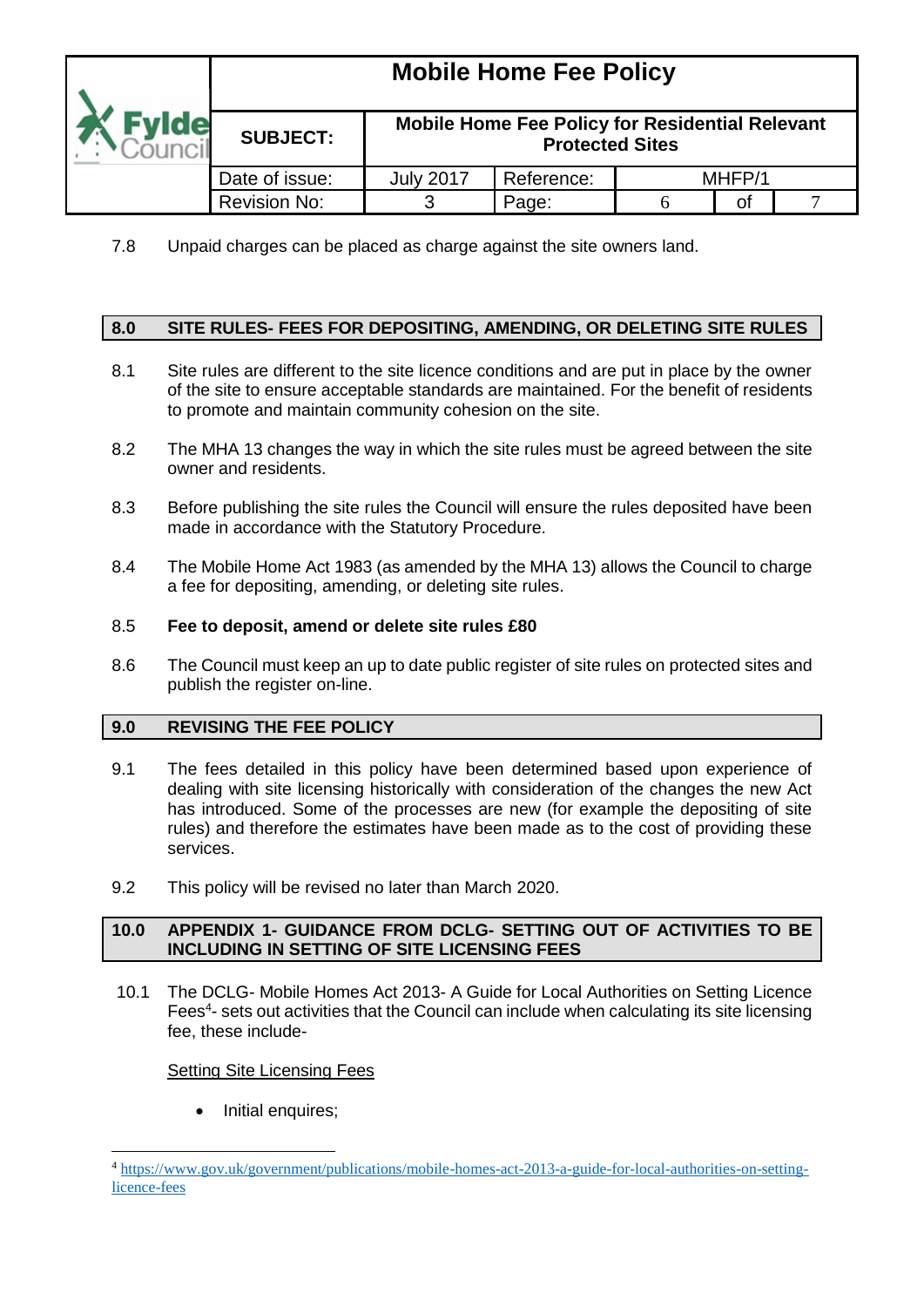|              | <b>INIODIIE LIQUIE LEE LAIICA</b> |                                                                                  |            |  |        |  |  |  |
|--------------|-----------------------------------|----------------------------------------------------------------------------------|------------|--|--------|--|--|--|
| <b>Evide</b> | <b>SUBJECT:</b>                   | <b>Mobile Home Fee Policy for Residential Relevant</b><br><b>Protected Sites</b> |            |  |        |  |  |  |
|              | Date of issue:                    | <b>July 2017</b>                                                                 | Reference: |  | MHFP/1 |  |  |  |
|              | <b>Revision No:</b>               |                                                                                  | Page:      |  | Οf     |  |  |  |

7.8 Unpaid charges can be placed as charge against the site owners land.

### **8.0 SITE RULES- FEES FOR DEPOSITING, AMENDING, OR DELETING SITE RULES**

- 8.1 Site rules are different to the site licence conditions and are put in place by the owner of the site to ensure acceptable standards are maintained. For the benefit of residents to promote and maintain community cohesion on the site.
- 8.2 The MHA 13 changes the way in which the site rules must be agreed between the site owner and residents.
- 8.3 Before publishing the site rules the Council will ensure the rules deposited have been made in accordance with the Statutory Procedure.
- 8.4 The Mobile Home Act 1983 (as amended by the MHA 13) allows the Council to charge a fee for depositing, amending, or deleting site rules.

#### 8.5 **Fee to deposit, amend or delete site rules £80**

8.6 The Council must keep an up to date public register of site rules on protected sites and publish the register on-line.

#### **9.0 REVISING THE FEE POLICY**

- 9.1 The fees detailed in this policy have been determined based upon experience of dealing with site licensing historically with consideration of the changes the new Act has introduced. Some of the processes are new (for example the depositing of site rules) and therefore the estimates have been made as to the cost of providing these services.
- 9.2 This policy will be revised no later than March 2020.

#### **10.0 APPENDIX 1- GUIDANCE FROM DCLG- SETTING OUT OF ACTIVITIES TO BE INCLUDING IN SETTING OF SITE LICENSING FEES**

10.1 The DCLG- Mobile Homes Act 2013- A Guide for Local Authorities on Setting Licence Fees<sup>4</sup>- sets out activities that the Council can include when calculating its site licensing fee, these include-

#### Setting Site Licensing Fees

Initial enquires;

1

<sup>4</sup> [https://www.gov.uk/government/publications/mobile-homes-act-2013-a-guide-for-local-authorities-on-setting](https://www.gov.uk/government/publications/mobile-homes-act-2013-a-guide-for-local-authorities-on-setting-licence-fees)[licence-fees](https://www.gov.uk/government/publications/mobile-homes-act-2013-a-guide-for-local-authorities-on-setting-licence-fees)